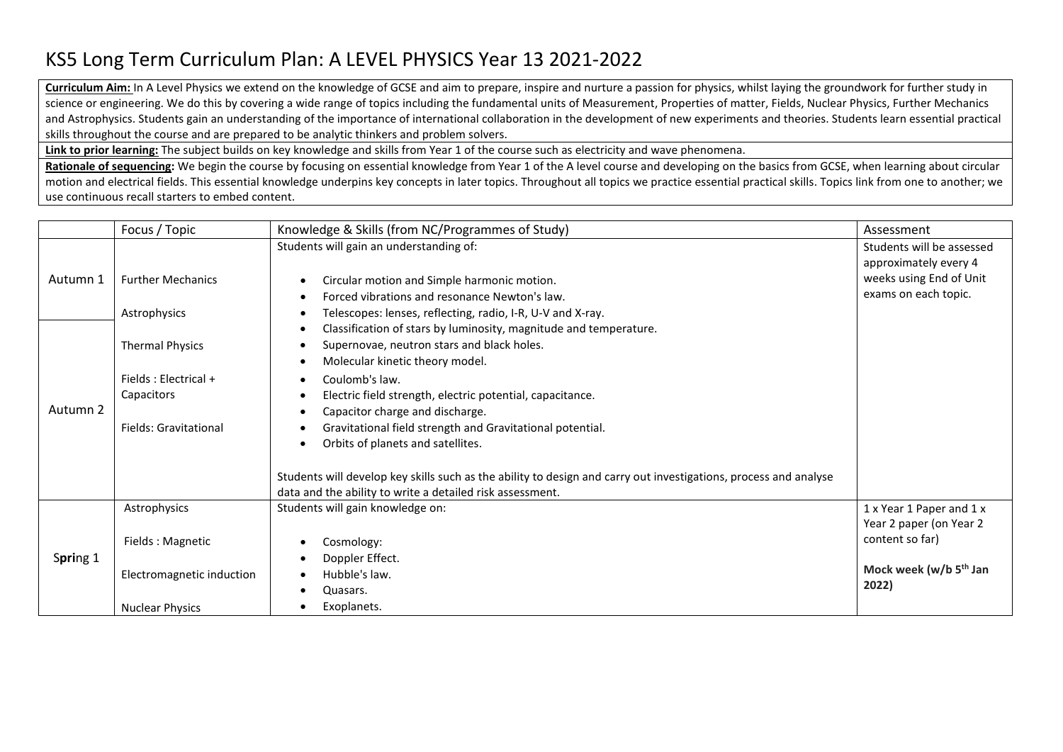## KS5 Long Term Curriculum Plan: A LEVEL PHYSICS Year 13 2021-2022

**Curriculum Aim:** In A Level Physics we extend on the knowledge of GCSE and aim to prepare, inspire and nurture a passion for physics, whilst laying the groundwork for further study in science or engineering. We do this by covering a wide range of topics including the fundamental units of Measurement, Properties of matter, Fields, Nuclear Physics, Further Mechanics and Astrophysics. Students gain an understanding of the importance of international collaboration in the development of new experiments and theories. Students learn essential practical skills throughout the course and are prepared to be analytic thinkers and problem solvers.

**Link to prior learning:** The subject builds on key knowledge and skills from Year 1 of the course such as electricity and wave phenomena.

Rationale of sequencing: We begin the course by focusing on essential knowledge from Year 1 of the A level course and developing on the basics from GCSE, when learning about circular motion and electrical fields. This essential knowledge underpins key concepts in later topics. Throughout all topics we practice essential practical skills. Topics link from one to another; we use continuous recall starters to embed content.

|          | Focus / Topic             | Knowledge & Skills (from NC/Programmes of Study)                                                                 | Assessment                         |
|----------|---------------------------|------------------------------------------------------------------------------------------------------------------|------------------------------------|
|          |                           | Students will gain an understanding of:                                                                          | Students will be assessed          |
| Autumn 1 |                           |                                                                                                                  | approximately every 4              |
|          | <b>Further Mechanics</b>  | Circular motion and Simple harmonic motion.                                                                      | weeks using End of Unit            |
|          |                           | Forced vibrations and resonance Newton's law.                                                                    | exams on each topic.               |
|          | Astrophysics              | Telescopes: lenses, reflecting, radio, I-R, U-V and X-ray.                                                       |                                    |
|          |                           | Classification of stars by luminosity, magnitude and temperature.                                                |                                    |
|          | <b>Thermal Physics</b>    | Supernovae, neutron stars and black holes.                                                                       |                                    |
|          |                           | Molecular kinetic theory model.                                                                                  |                                    |
|          | Fields : Electrical +     | Coulomb's law.                                                                                                   |                                    |
|          | Capacitors                | Electric field strength, electric potential, capacitance.                                                        |                                    |
| Autumn 2 |                           | Capacitor charge and discharge.                                                                                  |                                    |
|          | Fields: Gravitational     | Gravitational field strength and Gravitational potential.                                                        |                                    |
|          |                           | Orbits of planets and satellites.                                                                                |                                    |
|          |                           | Students will develop key skills such as the ability to design and carry out investigations, process and analyse |                                    |
|          |                           | data and the ability to write a detailed risk assessment.                                                        |                                    |
|          | Astrophysics              | Students will gain knowledge on:                                                                                 | 1 x Year 1 Paper and 1 x           |
| Spring 1 |                           |                                                                                                                  | Year 2 paper (on Year 2            |
|          | Fields: Magnetic          | Cosmology:                                                                                                       | content so far)                    |
|          |                           | Doppler Effect.                                                                                                  |                                    |
|          | Electromagnetic induction | Hubble's law.                                                                                                    | Mock week (w/b 5 <sup>th</sup> Jan |
|          |                           | Quasars.                                                                                                         | 2022)                              |
|          | <b>Nuclear Physics</b>    | Exoplanets.                                                                                                      |                                    |